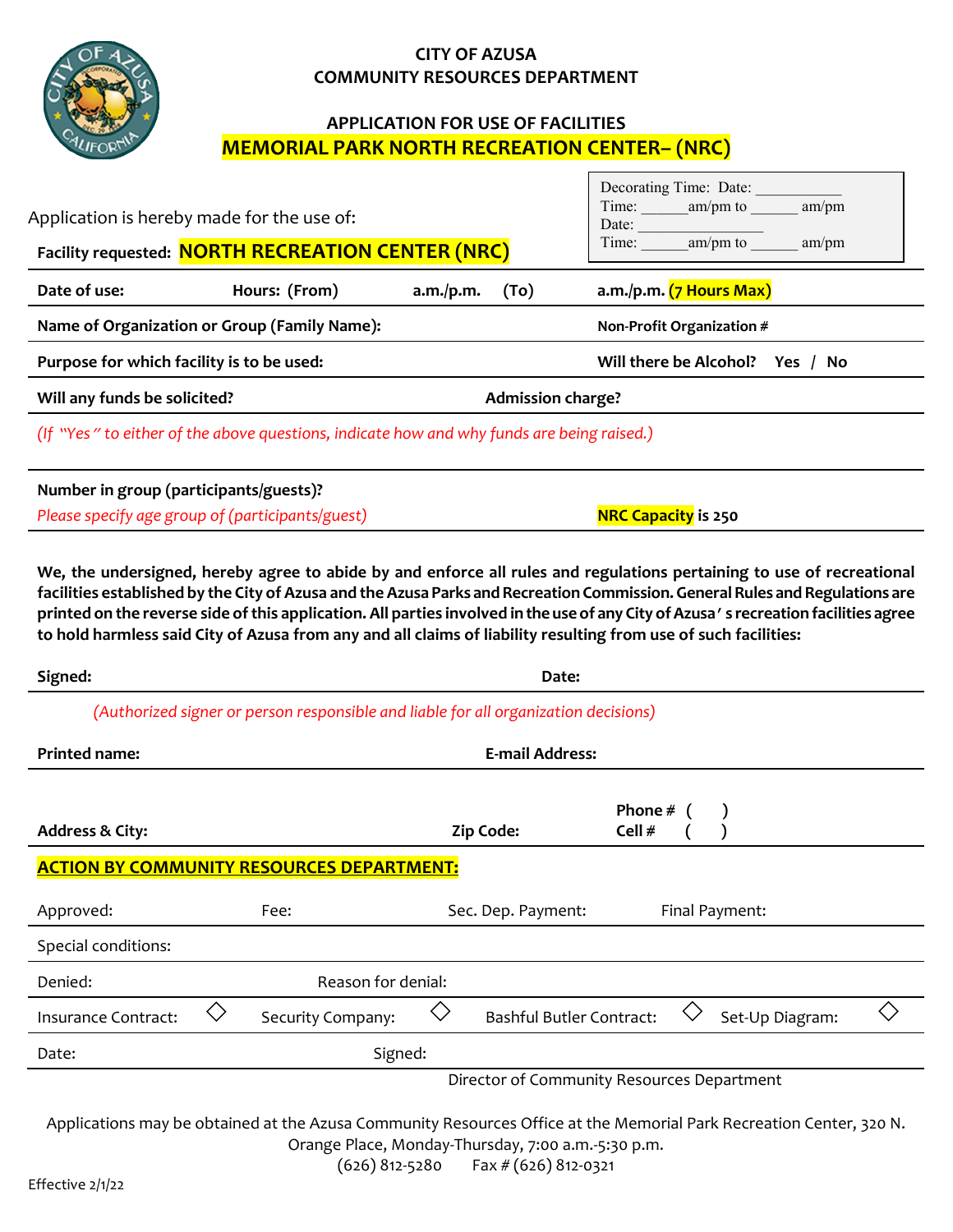## **CITY OF AZUSA COMMUNITY RESOURCES DEPARTMENT**



## **APPLICATION FOR USE OF FACILITIES MEMORIAL PARK NORTH RECREATION CENTER– (NRC)**

Г

| Application is hereby made for the use of:                                                                                                                                                                                                                                                                                                                                                                                                                                                                      |                                                                                     | Decorating Time: Date:<br>am/pm<br>Time:<br>$am/pm$ to<br>Date: |                                 |                                            |                 |                |  |
|-----------------------------------------------------------------------------------------------------------------------------------------------------------------------------------------------------------------------------------------------------------------------------------------------------------------------------------------------------------------------------------------------------------------------------------------------------------------------------------------------------------------|-------------------------------------------------------------------------------------|-----------------------------------------------------------------|---------------------------------|--------------------------------------------|-----------------|----------------|--|
| Facility requested: NORTH RECREATION CENTER (NRC)                                                                                                                                                                                                                                                                                                                                                                                                                                                               |                                                                                     |                                                                 |                                 | Time: $am/pm$ to                           | am/pm           |                |  |
| Date of use:                                                                                                                                                                                                                                                                                                                                                                                                                                                                                                    | Hours: (From)                                                                       | a.m./p.m.                                                       | (To)                            | a.m./p.m. (7 Hours Max)                    |                 |                |  |
| Name of Organization or Group (Family Name):                                                                                                                                                                                                                                                                                                                                                                                                                                                                    |                                                                                     |                                                                 |                                 | Non-Profit Organization #                  |                 |                |  |
| Purpose for which facility is to be used:                                                                                                                                                                                                                                                                                                                                                                                                                                                                       |                                                                                     |                                                                 |                                 | Will there be Alcohol? Yes / No            |                 |                |  |
| Will any funds be solicited?                                                                                                                                                                                                                                                                                                                                                                                                                                                                                    |                                                                                     |                                                                 | <b>Admission charge?</b>        |                                            |                 |                |  |
| (If "Yes" to either of the above questions, indicate how and why funds are being raised.)                                                                                                                                                                                                                                                                                                                                                                                                                       |                                                                                     |                                                                 |                                 |                                            |                 |                |  |
| Number in group (participants/guests)?                                                                                                                                                                                                                                                                                                                                                                                                                                                                          |                                                                                     |                                                                 |                                 |                                            |                 |                |  |
| Please specify age group of (participants/guest)                                                                                                                                                                                                                                                                                                                                                                                                                                                                |                                                                                     |                                                                 |                                 | <b>NRC Capacity</b> is 250                 |                 |                |  |
| We, the undersigned, hereby agree to abide by and enforce all rules and regulations pertaining to use of recreational<br>facilities established by the City of Azusa and the Azusa Parks and Recreation Commission. General Rules and Regulations are<br>printed on the reverse side of this application. All parties involved in the use of any City of Azusa's recreation facilities agree<br>to hold harmless said City of Azusa from any and all claims of liability resulting from use of such facilities: |                                                                                     |                                                                 |                                 |                                            |                 |                |  |
| Signed:                                                                                                                                                                                                                                                                                                                                                                                                                                                                                                         |                                                                                     |                                                                 | Date:                           |                                            |                 |                |  |
|                                                                                                                                                                                                                                                                                                                                                                                                                                                                                                                 | (Authorized signer or person responsible and liable for all organization decisions) |                                                                 |                                 |                                            |                 |                |  |
| <b>Printed name:</b>                                                                                                                                                                                                                                                                                                                                                                                                                                                                                            | <b>E-mail Address:</b>                                                              |                                                                 |                                 |                                            |                 |                |  |
| <b>Address &amp; City:</b>                                                                                                                                                                                                                                                                                                                                                                                                                                                                                      |                                                                                     | Zip Code:                                                       |                                 | Phone #<br>Cell #                          |                 |                |  |
| <b>ACTION BY COMMUNITY RESOURCES DEPARTMENT:</b>                                                                                                                                                                                                                                                                                                                                                                                                                                                                |                                                                                     |                                                                 |                                 |                                            |                 |                |  |
| Approved:                                                                                                                                                                                                                                                                                                                                                                                                                                                                                                       | Fee:                                                                                |                                                                 | Sec. Dep. Payment:              |                                            | Final Payment:  |                |  |
| Special conditions:                                                                                                                                                                                                                                                                                                                                                                                                                                                                                             |                                                                                     |                                                                 |                                 |                                            |                 |                |  |
| Reason for denial:<br>Denied:                                                                                                                                                                                                                                                                                                                                                                                                                                                                                   |                                                                                     |                                                                 |                                 |                                            |                 |                |  |
| $\diamondsuit$<br>Insurance Contract:                                                                                                                                                                                                                                                                                                                                                                                                                                                                           | Security Company:                                                                   | $\diamondsuit$                                                  | <b>Bashful Butler Contract:</b> |                                            | Set-Up Diagram: | $\diamondsuit$ |  |
| Date:                                                                                                                                                                                                                                                                                                                                                                                                                                                                                                           | Signed:                                                                             |                                                                 |                                 |                                            |                 |                |  |
|                                                                                                                                                                                                                                                                                                                                                                                                                                                                                                                 |                                                                                     |                                                                 |                                 | Director of Community Resources Department |                 |                |  |

Applications may be obtained at the Azusa Community Resources Office at the Memorial Park Recreation Center, 320 N. Orange Place, Monday-Thursday, 7:00 a.m.-5:30 p.m.

| $(626)$ 812-5280 |  |  | Fax # (626) 812-0321 |
|------------------|--|--|----------------------|
|------------------|--|--|----------------------|